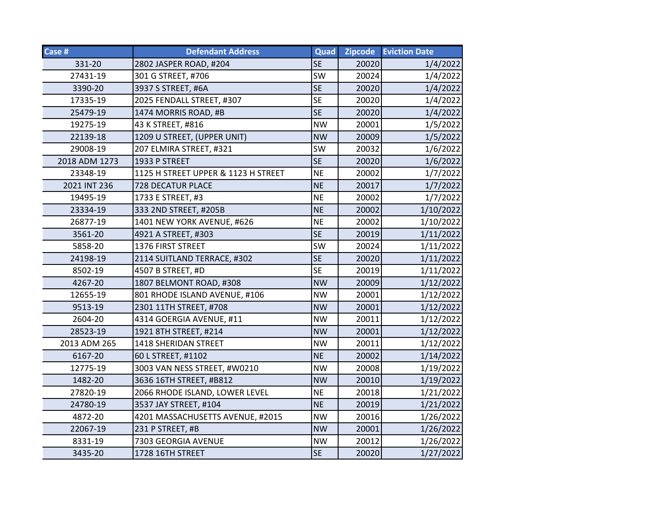| Case #        | <b>Defendant Address</b>            | Quad      | <b>Zipcode</b> | <b>Eviction Date</b> |
|---------------|-------------------------------------|-----------|----------------|----------------------|
| 331-20        | 2802 JASPER ROAD, #204              | <b>SE</b> | 20020          | 1/4/2022             |
| 27431-19      | 301 G STREET, #706                  | SW        | 20024          | 1/4/2022             |
| 3390-20       | 3937 S STREET, #6A                  | <b>SE</b> | 20020          | 1/4/2022             |
| 17335-19      | 2025 FENDALL STREET, #307           | <b>SE</b> | 20020          | 1/4/2022             |
| 25479-19      | 1474 MORRIS ROAD, #B                | <b>SE</b> | 20020          | 1/4/2022             |
| 19275-19      | 43 K STREET, #816                   | <b>NW</b> | 20001          | 1/5/2022             |
| 22139-18      | 1209 U STREET, (UPPER UNIT)         | <b>NW</b> | 20009          | 1/5/2022             |
| 29008-19      | 207 ELMIRA STREET, #321             | SW        | 20032          | 1/6/2022             |
| 2018 ADM 1273 | 1933 P STREET                       | <b>SE</b> | 20020          | 1/6/2022             |
| 23348-19      | 1125 H STREET UPPER & 1123 H STREET | <b>NE</b> | 20002          | 1/7/2022             |
| 2021 INT 236  | 728 DECATUR PLACE                   | <b>NE</b> | 20017          | 1/7/2022             |
| 19495-19      | 1733 E STREET, #3                   | <b>NE</b> | 20002          | 1/7/2022             |
| 23334-19      | 333 2ND STREET, #205B               | <b>NE</b> | 20002          | 1/10/2022            |
| 26877-19      | 1401 NEW YORK AVENUE, #626          | <b>NE</b> | 20002          | 1/10/2022            |
| 3561-20       | 4921 A STREET, #303                 | <b>SE</b> | 20019          | 1/11/2022            |
| 5858-20       | 1376 FIRST STREET                   | SW        | 20024          | 1/11/2022            |
| 24198-19      | 2114 SUITLAND TERRACE, #302         | <b>SE</b> | 20020          | 1/11/2022            |
| 8502-19       | 4507 B STREET, #D                   | <b>SE</b> | 20019          | 1/11/2022            |
| 4267-20       | 1807 BELMONT ROAD, #308             | <b>NW</b> | 20009          | 1/12/2022            |
| 12655-19      | 801 RHODE ISLAND AVENUE, #106       | <b>NW</b> | 20001          | 1/12/2022            |
| 9513-19       | 2301 11TH STREET, #708              | <b>NW</b> | 20001          | 1/12/2022            |
| 2604-20       | 4314 GOERGIA AVENUE, #11            | <b>NW</b> | 20011          | 1/12/2022            |
| 28523-19      | 1921 8TH STREET, #214               | <b>NW</b> | 20001          | 1/12/2022            |
| 2013 ADM 265  | 1418 SHERIDAN STREET                | <b>NW</b> | 20011          | 1/12/2022            |
| 6167-20       | 60 L STREET, #1102                  | <b>NE</b> | 20002          | 1/14/2022            |
| 12775-19      | 3003 VAN NESS STREET, #W0210        | <b>NW</b> | 20008          | 1/19/2022            |
| 1482-20       | 3636 16TH STREET, #B812             | <b>NW</b> | 20010          | 1/19/2022            |
| 27820-19      | 2066 RHODE ISLAND, LOWER LEVEL      | <b>NE</b> | 20018          | 1/21/2022            |
| 24780-19      | 3537 JAY STREET, #104               | <b>NE</b> | 20019          | 1/21/2022            |
| 4872-20       | 4201 MASSACHUSETTS AVENUE, #2015    | <b>NW</b> | 20016          | 1/26/2022            |
| 22067-19      | 231 P STREET, #B                    | <b>NW</b> | 20001          | 1/26/2022            |
| 8331-19       | 7303 GEORGIA AVENUE                 | <b>NW</b> | 20012          | 1/26/2022            |
| 3435-20       | 1728 16TH STREET                    | <b>SE</b> | 20020          | 1/27/2022            |